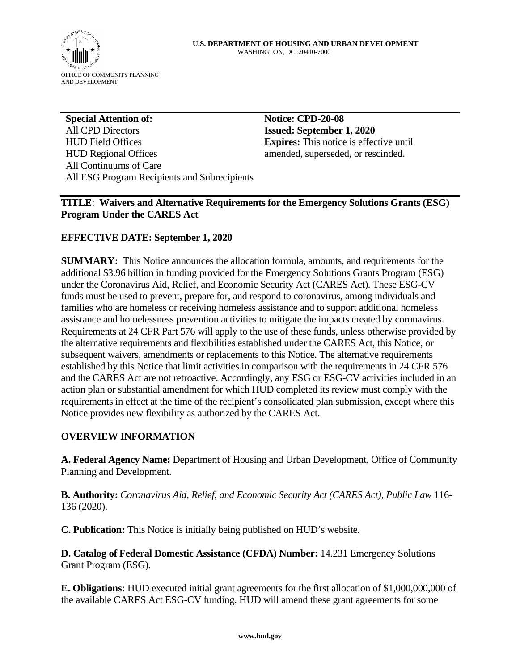

**Special Attention of:**  All CPD Directors HUD Field Offices HUD Regional Offices All Continuums of Care All ESG Program Recipients and Subrecipients

**Notice: CPD-20-08 Issued: September 1, 2020 Expires:** This notice is effective until amended, superseded, or rescinded.

**TITLE**: **Waivers and Alternative Requirements for the Emergency Solutions Grants (ESG) Program Under the CARES Act** 

### **EFFECTIVE DATE: September 1, 2020**

**SUMMARY:** This Notice announces the allocation formula, amounts, and requirements for the additional \$3.96 billion in funding provided for the Emergency Solutions Grants Program (ESG) under the Coronavirus Aid, Relief, and Economic Security Act (CARES Act). These ESG-CV funds must be used to prevent, prepare for, and respond to coronavirus, among individuals and families who are homeless or receiving homeless assistance and to support additional homeless assistance and homelessness prevention activities to mitigate the impacts created by coronavirus. Requirements at 24 CFR Part 576 will apply to the use of these funds, unless otherwise provided by the alternative requirements and flexibilities established under the CARES Act, this Notice, or subsequent waivers, amendments or replacements to this Notice. The alternative requirements established by this Notice that limit activities in comparison with the requirements in 24 CFR 576 and the CARES Act are not retroactive. Accordingly, any ESG or ESG-CV activities included in an action plan or substantial amendment for which HUD completed its review must comply with the requirements in effect at the time of the recipient's consolidated plan submission, except where this Notice provides new flexibility as authorized by the CARES Act.

### **OVERVIEW INFORMATION**

**A. Federal Agency Name:** Department of Housing and Urban Development, Office of Community Planning and Development.

**B. Authority:** *Coronavirus Aid, Relief, and Economic Security Act (CARES Act), Public Law* 116- 136 (2020).

**C. Publication:** This Notice is initially being published on HUD's website.

**D. Catalog of Federal Domestic Assistance (CFDA) Number:** 14.231 Emergency Solutions Grant Program (ESG).

**E. Obligations:** HUD executed initial grant agreements for the first allocation of \$1,000,000,000 of the available CARES Act ESG-CV funding. HUD will amend these grant agreements for some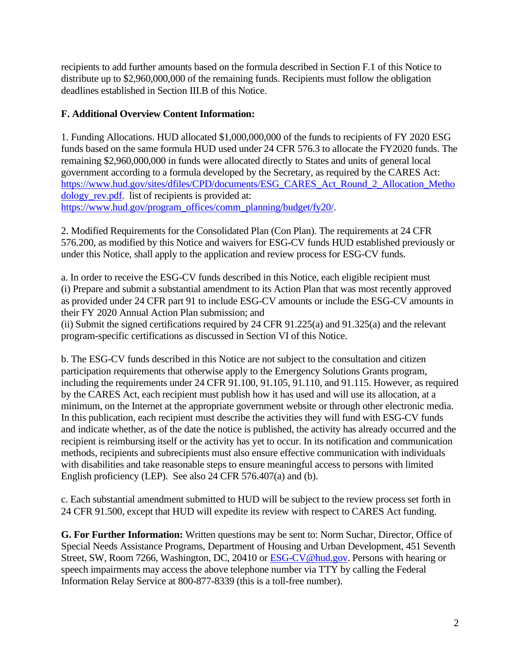recipients to add further amounts based on the formula described in Section F.1 of this Notice to distribute up to \$2,960,000,000 of the remaining funds. Recipients must follow the obligation deadlines established in Section III.B of this Notice.

## **F. Additional Overview Content Information:**

1. Funding Allocations. HUD allocated \$1,000,000,000 of the funds to recipients of FY 2020 ESG funds based on the same formula HUD used under 24 CFR 576.3 to allocate the FY2020 funds. The remaining \$2,960,000,000 in funds were allocated directly to States and units of general local government according to a formula developed by the Secretary, as required by the CARES Act: [https://www.hud.gov/sites/dfiles/CPD/documents/ESG\\_CARES\\_Act\\_Round\\_2\\_Allocation\\_Metho](https://www.hud.gov/sites/dfiles/CPD/documents/ESG_CARES_Act_Round_2_Allocation_Methodology_rev.pdf) dology rev.pdf. list of recipients is provided at: [https://www.hud.gov/program\\_offices/comm\\_planning/budget/fy20/.](https://www.hud.gov/program_offices/comm_planning/budget/fy20/)

2. Modified Requirements for the Consolidated Plan (Con Plan). The requirements at 24 CFR 576.200, as modified by this Notice and waivers for ESG-CV funds HUD established previously or under this Notice, shall apply to the application and review process for ESG-CV funds.

a. In order to receive the ESG-CV funds described in this Notice, each eligible recipient must (i) Prepare and submit a substantial amendment to its Action Plan that was most recently approved as provided under 24 CFR part 91 to include ESG-CV amounts or include the ESG-CV amounts in their FY 2020 Annual Action Plan submission; and

(ii) Submit the signed certifications required by 24 CFR 91.225(a) and 91.325(a) and the relevant program-specific certifications as discussed in Section VI of this Notice.

b. The ESG-CV funds described in this Notice are not subject to the consultation and citizen participation requirements that otherwise apply to the Emergency Solutions Grants program, including the requirements under 24 CFR 91.100, 91.105, 91.110, and 91.115. However, as required by the CARES Act, each recipient must publish how it has used and will use its allocation, at a minimum, on the Internet at the appropriate government website or through other electronic media. In this publication, each recipient must describe the activities they will fund with ESG-CV funds and indicate whether, as of the date the notice is published, the activity has already occurred and the recipient is reimbursing itself or the activity has yet to occur. In its notification and communication methods, recipients and subrecipients must also ensure effective communication with individuals with disabilities and take reasonable steps to ensure meaningful access to persons with limited English proficiency (LEP). See also 24 CFR 576.407(a) and (b).

c. Each substantial amendment submitted to HUD will be subject to the review process set forth in 24 CFR 91.500, except that HUD will expedite its review with respect to CARES Act funding.

**G. For Further Information:** Written questions may be sent to: Norm Suchar, Director, Office of Special Needs Assistance Programs, Department of Housing and Urban Development, 451 Seventh Street, SW, Room 7266, Washington, DC, 20410 or [ESG-CV@hud.gov.](mailto:ESG-CV@hud.gov) Persons with hearing or speech impairments may access the above telephone number via TTY by calling the Federal Information Relay Service at 800-877-8339 (this is a toll-free number).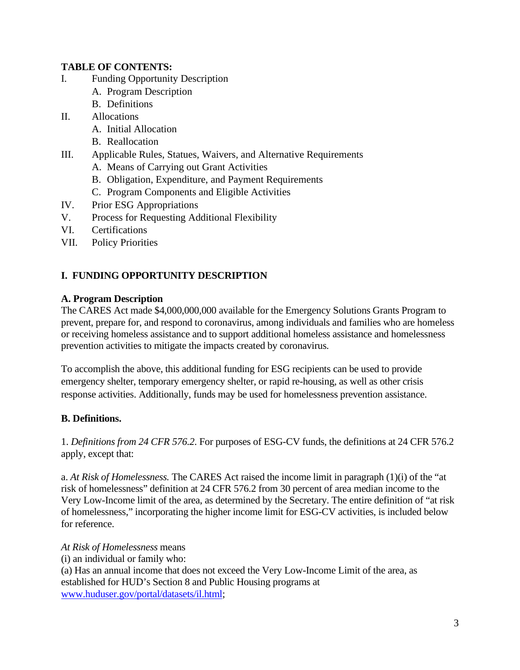## **TABLE OF CONTENTS:**

- I. Funding Opportunity Description
	- A. Program Description
	- B. Definitions
- II. Allocations
	- A. Initial Allocation
	- B. Reallocation
- III. Applicable Rules, Statues, Waivers, and Alternative Requirements
	- A. Means of Carrying out Grant Activities
	- B. Obligation, Expenditure, and Payment Requirements
	- C. Program Components and Eligible Activities
- IV. Prior ESG Appropriations
- V. Process for Requesting Additional Flexibility
- VI. Certifications
- VII. Policy Priorities

# **I. FUNDING OPPORTUNITY DESCRIPTION**

### **A. Program Description**

The CARES Act made \$4,000,000,000 available for the Emergency Solutions Grants Program to prevent, prepare for, and respond to coronavirus, among individuals and families who are homeless or receiving homeless assistance and to support additional homeless assistance and homelessness prevention activities to mitigate the impacts created by coronavirus.

To accomplish the above, this additional funding for ESG recipients can be used to provide emergency shelter, temporary emergency shelter, or rapid re-housing, as well as other crisis response activities. Additionally, funds may be used for homelessness prevention assistance.

# **B. Definitions.**

1. *Definitions from 24 CFR 576.2*. For purposes of ESG-CV funds, the definitions at 24 CFR 576.2 apply, except that:

a. *At Risk of Homelessness.* The CARES Act raised the income limit in paragraph (1)(i) of the "at risk of homelessness" definition at 24 CFR 576.2 from 30 percent of area median income to the Very Low-Income limit of the area, as determined by the Secretary. The entire definition of "at risk of homelessness," incorporating the higher income limit for ESG-CV activities, is included below for reference.

### *At Risk of Homelessness* means

(i) an individual or family who:

(a) Has an annual income that does not exceed the Very Low-Income Limit of the area, as established for HUD's Section 8 and Public Housing programs at [www.huduser.gov/portal/datasets/il.html;](http://www.huduser.gov/portal/datasets/il.html)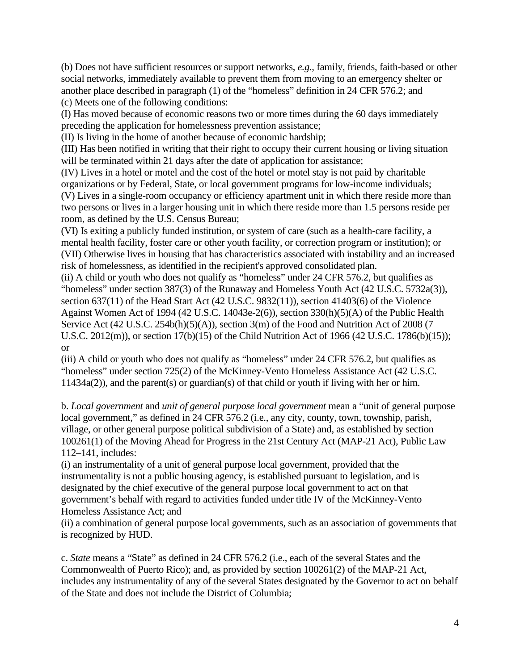(b) Does not have sufficient resources or support networks, *e.g.,* family, friends, faith-based or other social networks, immediately available to prevent them from moving to an emergency shelter or another place described in paragraph (1) of the "homeless" definition in 24 CFR 576.2; and (c) Meets one of the following conditions:

(I) Has moved because of economic reasons two or more times during the 60 days immediately preceding the application for homelessness prevention assistance;

(II) Is living in the home of another because of economic hardship;

(III) Has been notified in writing that their right to occupy their current housing or living situation will be terminated within 21 days after the date of application for assistance;

(IV) Lives in a hotel or motel and the cost of the hotel or motel stay is not paid by charitable organizations or by Federal, State, or local government programs for low-income individuals;

(V) Lives in a single-room occupancy or efficiency apartment unit in which there reside more than two persons or lives in a larger housing unit in which there reside more than 1.5 persons reside per room, as defined by the U.S. Census Bureau;

(VI) Is exiting a publicly funded institution, or system of care (such as a health-care facility, a mental health facility, foster care or other youth facility, or correction program or institution); or (VII) Otherwise lives in housing that has characteristics associated with instability and an increased risk of homelessness, as identified in the recipient's approved consolidated plan.

(ii) A child or youth who does not qualify as "homeless" under 24 CFR 576.2, but qualifies as "homeless" under section 387(3) of the Runaway and Homeless Youth Act (42 U.S.C. 5732a(3)), section 637(11) of the Head Start Act (42 U.S.C. 9832(11)), section 41403(6) of the Violence Against Women Act of 1994 (42 U.S.C. 14043e-2(6)), section 330(h)(5)(A) of the Public Health Service Act (42 U.S.C. 254b(h)(5)(A)), section 3(m) of the Food and Nutrition Act of 2008 (7 U.S.C. 2012(m)), or section 17(b)(15) of the Child Nutrition Act of 1966 (42 U.S.C. 1786(b)(15)); or

(iii) A child or youth who does not qualify as "homeless" under 24 CFR 576.2, but qualifies as "homeless" under section 725(2) of the McKinney-Vento Homeless Assistance Act (42 U.S.C. 11434a(2)), and the parent(s) or guardian(s) of that child or youth if living with her or him.

b. *Local government* and *unit of general purpose local government* mean a "unit of general purpose local government," as defined in 24 CFR 576.2 (i.e., any city, county, town, township, parish, village, or other general purpose political subdivision of a State) and, as established by section 100261(1) of the Moving Ahead for Progress in the 21st Century Act (MAP-21 Act), Public Law 112–141, includes:

(i) an instrumentality of a unit of general purpose local government, provided that the instrumentality is not a public housing agency, is established pursuant to legislation, and is designated by the chief executive of the general purpose local government to act on that government's behalf with regard to activities funded under title IV of the McKinney-Vento Homeless Assistance Act; and

(ii) a combination of general purpose local governments, such as an association of governments that is recognized by HUD.

c. *State* means a "State" as defined in 24 CFR 576.2 (i.e., each of the several States and the Commonwealth of Puerto Rico); and, as provided by section 100261(2) of the MAP-21 Act, includes any instrumentality of any of the several States designated by the Governor to act on behalf of the State and does not include the District of Columbia;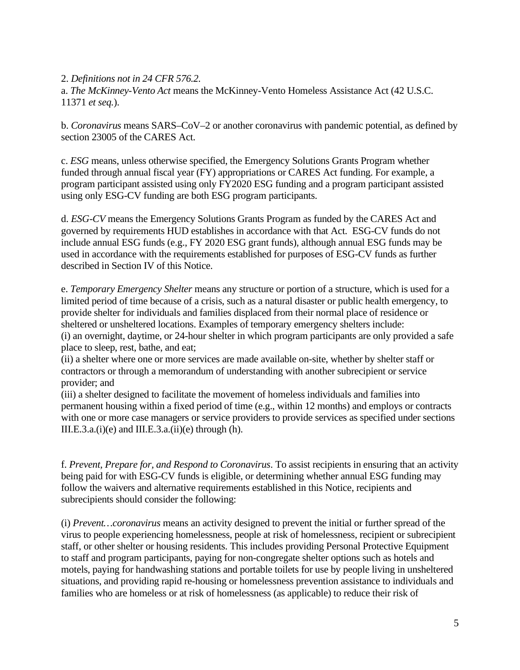2. *Definitions not in 24 CFR 576.2.* 

a. *The McKinney-Vento Act* means the McKinney-Vento Homeless Assistance Act (42 U.S.C. 11371 *et seq.*).

b. *Coronavirus* means SARS–CoV–2 or another coronavirus with pandemic potential, as defined by section 23005 of the CARES Act.

c. *ESG* means, unless otherwise specified, the Emergency Solutions Grants Program whether funded through annual fiscal year (FY) appropriations or CARES Act funding. For example, a program participant assisted using only FY2020 ESG funding and a program participant assisted using only ESG-CV funding are both ESG program participants.

d. *ESG-CV* means the Emergency Solutions Grants Program as funded by the CARES Act and governed by requirements HUD establishes in accordance with that Act. ESG-CV funds do not include annual ESG funds (e.g., FY 2020 ESG grant funds), although annual ESG funds may be used in accordance with the requirements established for purposes of ESG-CV funds as further described in Section IV of this Notice.

e. *Temporary Emergency Shelter* means any structure or portion of a structure, which is used for a limited period of time because of a crisis, such as a natural disaster or public health emergency, to provide shelter for individuals and families displaced from their normal place of residence or sheltered or unsheltered locations. Examples of temporary emergency shelters include: (i) an overnight, daytime, or 24-hour shelter in which program participants are only provided a safe place to sleep, rest, bathe, and eat;

(ii) a shelter where one or more services are made available on-site, whether by shelter staff or contractors or through a memorandum of understanding with another subrecipient or service provider; and

(iii) a shelter designed to facilitate the movement of homeless individuals and families into permanent housing within a fixed period of time (e.g., within 12 months) and employs or contracts with one or more case managers or service providers to provide services as specified under sections III.E.3.a. $(i)(e)$  and III.E.3.a. $(ii)(e)$  through  $(h)$ .

f. *Prevent, Prepare for, and Respond to Coronavirus*. To assist recipients in ensuring that an activity being paid for with ESG-CV funds is eligible, or determining whether annual ESG funding may follow the waivers and alternative requirements established in this Notice, recipients and subrecipients should consider the following:

(i) *Prevent…coronavirus* means an activity designed to prevent the initial or further spread of the virus to people experiencing homelessness, people at risk of homelessness, recipient or subrecipient staff, or other shelter or housing residents. This includes providing Personal Protective Equipment to staff and program participants, paying for non-congregate shelter options such as hotels and motels, paying for handwashing stations and portable toilets for use by people living in unsheltered situations, and providing rapid re-housing or homelessness prevention assistance to individuals and families who are homeless or at risk of homelessness (as applicable) to reduce their risk of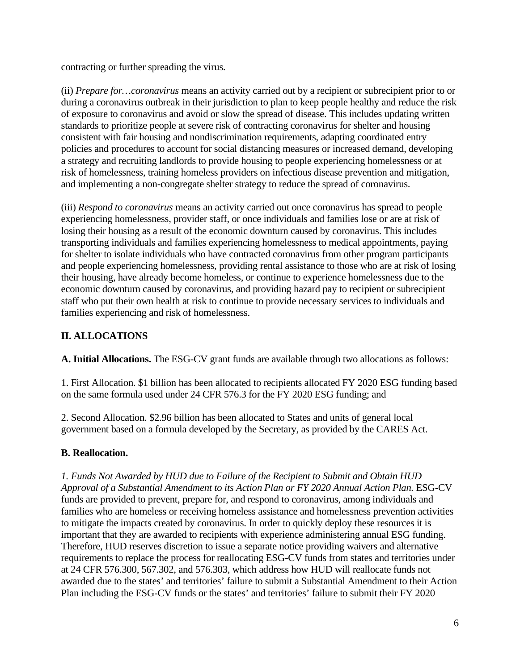contracting or further spreading the virus.

(ii) *Prepare for…coronavirus* means an activity carried out by a recipient or subrecipient prior to or during a coronavirus outbreak in their jurisdiction to plan to keep people healthy and reduce the risk of exposure to coronavirus and avoid or slow the spread of disease. This includes updating written standards to prioritize people at severe risk of contracting coronavirus for shelter and housing consistent with fair housing and nondiscrimination requirements, adapting coordinated entry policies and procedures to account for social distancing measures or increased demand, developing a strategy and recruiting landlords to provide housing to people experiencing homelessness or at risk of homelessness, training homeless providers on infectious disease prevention and mitigation, and implementing a non-congregate shelter strategy to reduce the spread of coronavirus.

(iii) *Respond to coronavirus* means an activity carried out once coronavirus has spread to people experiencing homelessness, provider staff, or once individuals and families lose or are at risk of losing their housing as a result of the economic downturn caused by coronavirus. This includes transporting individuals and families experiencing homelessness to medical appointments, paying for shelter to isolate individuals who have contracted coronavirus from other program participants and people experiencing homelessness, providing rental assistance to those who are at risk of losing their housing, have already become homeless, or continue to experience homelessness due to the economic downturn caused by coronavirus, and providing hazard pay to recipient or subrecipient staff who put their own health at risk to continue to provide necessary services to individuals and families experiencing and risk of homelessness.

# **II. ALLOCATIONS**

**A. Initial Allocations.** The ESG-CV grant funds are available through two allocations as follows:

1. First Allocation. \$1 billion has been allocated to recipients allocated FY 2020 ESG funding based on the same formula used under 24 CFR 576.3 for the FY 2020 ESG funding; and

2. Second Allocation. \$2.96 billion has been allocated to States and units of general local government based on a formula developed by the Secretary, as provided by the CARES Act.

### **B. Reallocation.**

*1. Funds Not Awarded by HUD due to Failure of the Recipient to Submit and Obtain HUD*  Approval of a Substantial Amendment to its Action Plan or FY 2020 Annual Action Plan. ESG-CV funds are provided to prevent, prepare for, and respond to coronavirus, among individuals and families who are homeless or receiving homeless assistance and homelessness prevention activities to mitigate the impacts created by coronavirus. In order to quickly deploy these resources it is important that they are awarded to recipients with experience administering annual ESG funding. Therefore, HUD reserves discretion to issue a separate notice providing waivers and alternative requirements to replace the process for reallocating ESG-CV funds from states and territories under at 24 CFR 576.300, 567.302, and 576.303, which address how HUD will reallocate funds not awarded due to the states' and territories' failure to submit a Substantial Amendment to their Action Plan including the ESG-CV funds or the states' and territories' failure to submit their FY 2020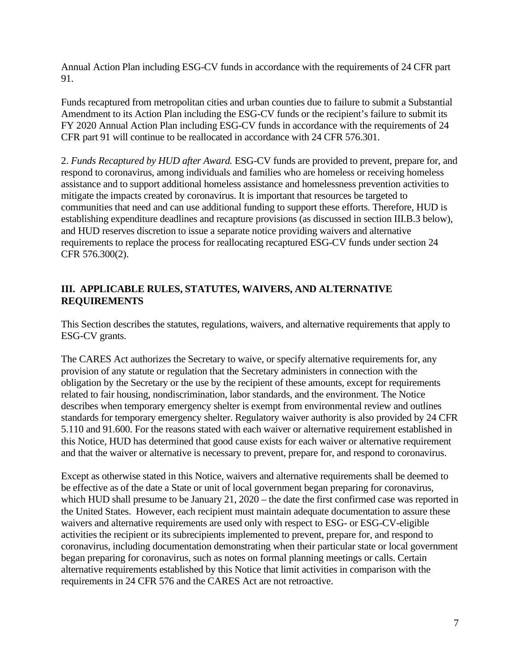Annual Action Plan including ESG-CV funds in accordance with the requirements of 24 CFR part 91.

Funds recaptured from metropolitan cities and urban counties due to failure to submit a Substantial Amendment to its Action Plan including the ESG-CV funds or the recipient's failure to submit its FY 2020 Annual Action Plan including ESG-CV funds in accordance with the requirements of 24 CFR part 91 will continue to be reallocated in accordance with 24 CFR 576.301.

2. *Funds Recaptured by HUD after Award.* ESG-CV funds are provided to prevent, prepare for, and respond to coronavirus, among individuals and families who are homeless or receiving homeless assistance and to support additional homeless assistance and homelessness prevention activities to mitigate the impacts created by coronavirus. It is important that resources be targeted to communities that need and can use additional funding to support these efforts. Therefore, HUD is establishing expenditure deadlines and recapture provisions (as discussed in section III.B.3 below), and HUD reserves discretion to issue a separate notice providing waivers and alternative requirements to replace the process for reallocating recaptured ESG-CV funds under section 24 CFR 576.300(2).

# **III. APPLICABLE RULES, STATUTES, WAIVERS, AND ALTERNATIVE REQUIREMENTS**

This Section describes the statutes, regulations, waivers, and alternative requirements that apply to ESG-CV grants.

The CARES Act authorizes the Secretary to waive, or specify alternative requirements for, any provision of any statute or regulation that the Secretary administers in connection with the obligation by the Secretary or the use by the recipient of these amounts, except for requirements related to fair housing, nondiscrimination, labor standards, and the environment. The Notice describes when temporary emergency shelter is exempt from environmental review and outlines standards for temporary emergency shelter. Regulatory waiver authority is also provided by 24 CFR 5.110 and 91.600. For the reasons stated with each waiver or alternative requirement established in this Notice, HUD has determined that good cause exists for each waiver or alternative requirement and that the waiver or alternative is necessary to prevent, prepare for, and respond to coronavirus.

Except as otherwise stated in this Notice, waivers and alternative requirements shall be deemed to be effective as of the date a State or unit of local government began preparing for coronavirus, which HUD shall presume to be January 21, 2020 – the date the first confirmed case was reported in the United States. However, each recipient must maintain adequate documentation to assure these waivers and alternative requirements are used only with respect to ESG- or ESG-CV-eligible activities the recipient or its subrecipients implemented to prevent, prepare for, and respond to coronavirus, including documentation demonstrating when their particular state or local government began preparing for coronavirus, such as notes on formal planning meetings or calls. Certain alternative requirements established by this Notice that limit activities in comparison with the requirements in 24 CFR 576 and the CARES Act are not retroactive.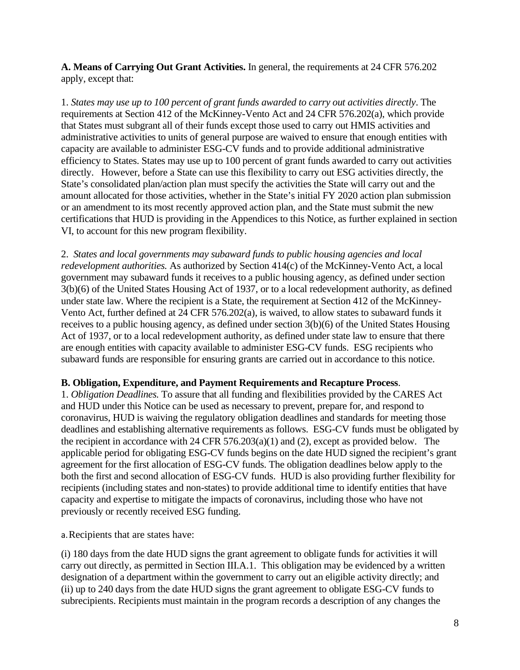**A. Means of Carrying Out Grant Activities.** In general, the requirements at 24 CFR 576.202 apply, except that:

1. *States may use up to 100 percent of grant funds awarded to carry out activities directly*. The requirements at Section 412 of the McKinney-Vento Act and 24 CFR 576.202(a), which provide that States must subgrant all of their funds except those used to carry out HMIS activities and administrative activities to units of general purpose are waived to ensure that enough entities with capacity are available to administer ESG-CV funds and to provide additional administrative efficiency to States. States may use up to 100 percent of grant funds awarded to carry out activities directly. However, before a State can use this flexibility to carry out ESG activities directly, the State's consolidated plan/action plan must specify the activities the State will carry out and the amount allocated for those activities, whether in the State's initial FY 2020 action plan submission or an amendment to its most recently approved action plan, and the State must submit the new certifications that HUD is providing in the Appendices to this Notice, as further explained in section VI, to account for this new program flexibility.

2. *States and local governments may subaward funds to public housing agencies and local redevelopment authorities.* As authorized by Section 414(c) of the McKinney-Vento Act, a local government may subaward funds it receives to a public housing agency, as defined under section 3(b)(6) of the United States Housing Act of 1937, or to a local redevelopment authority, as defined under state law. Where the recipient is a State, the requirement at Section 412 of the McKinney-Vento Act, further defined at 24 CFR 576.202(a), is waived, to allow states to subaward funds it receives to a public housing agency, as defined under section 3(b)(6) of the United States Housing Act of 1937, or to a local redevelopment authority, as defined under state law to ensure that there are enough entities with capacity available to administer ESG-CV funds. ESG recipients who subaward funds are responsible for ensuring grants are carried out in accordance to this notice.

#### **B. Obligation, Expenditure, and Payment Requirements and Recapture Process**.

1. *Obligation Deadlines.* To assure that all funding and flexibilities provided by the CARES Act and HUD under this Notice can be used as necessary to prevent, prepare for, and respond to coronavirus, HUD is waiving the regulatory obligation deadlines and standards for meeting those deadlines and establishing alternative requirements as follows. ESG-CV funds must be obligated by the recipient in accordance with 24 CFR 576.203(a)(1) and (2), except as provided below. The applicable period for obligating ESG-CV funds begins on the date HUD signed the recipient's grant agreement for the first allocation of ESG-CV funds. The obligation deadlines below apply to the both the first and second allocation of ESG-CV funds. HUD is also providing further flexibility for recipients (including states and non-states) to provide additional time to identify entities that have capacity and expertise to mitigate the impacts of coronavirus, including those who have not previously or recently received ESG funding.

a.Recipients that are states have:

(i) 180 days from the date HUD signs the grant agreement to obligate funds for activities it will carry out directly, as permitted in Section III.A.1. This obligation may be evidenced by a written designation of a department within the government to carry out an eligible activity directly; and (ii) up to 240 days from the date HUD signs the grant agreement to obligate ESG-CV funds to subrecipients. Recipients must maintain in the program records a description of any changes the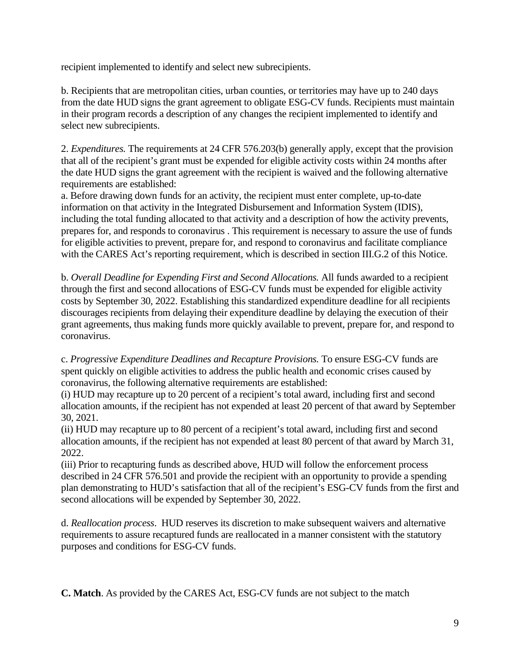recipient implemented to identify and select new subrecipients.

b. Recipients that are metropolitan cities, urban counties, or territories may have up to 240 days from the date HUD signs the grant agreement to obligate ESG-CV funds. Recipients must maintain in their program records a description of any changes the recipient implemented to identify and select new subrecipients.

2. *Expenditures.* The requirements at 24 CFR 576.203(b) generally apply, except that the provision that all of the recipient's grant must be expended for eligible activity costs within 24 months after the date HUD signs the grant agreement with the recipient is waived and the following alternative requirements are established:

a. Before drawing down funds for an activity, the recipient must enter complete, up-to-date information on that activity in the Integrated Disbursement and Information System (IDIS), including the total funding allocated to that activity and a description of how the activity prevents, prepares for, and responds to coronavirus . This requirement is necessary to assure the use of funds for eligible activities to prevent, prepare for, and respond to coronavirus and facilitate compliance with the CARES Act's reporting requirement, which is described in section III.G.2 of this Notice.

b. *Overall Deadline for Expending First and Second Allocations.* All funds awarded to a recipient through the first and second allocations of ESG-CV funds must be expended for eligible activity costs by September 30, 2022. Establishing this standardized expenditure deadline for all recipients discourages recipients from delaying their expenditure deadline by delaying the execution of their grant agreements, thus making funds more quickly available to prevent, prepare for, and respond to coronavirus.

c. *Progressive Expenditure Deadlines and Recapture Provisions.* To ensure ESG-CV funds are spent quickly on eligible activities to address the public health and economic crises caused by coronavirus, the following alternative requirements are established:

(i) HUD may recapture up to 20 percent of a recipient's total award, including first and second allocation amounts, if the recipient has not expended at least 20 percent of that award by September 30, 2021.

(ii) HUD may recapture up to 80 percent of a recipient's total award, including first and second allocation amounts, if the recipient has not expended at least 80 percent of that award by March 31, 2022.

(iii) Prior to recapturing funds as described above, HUD will follow the enforcement process described in 24 CFR 576.501 and provide the recipient with an opportunity to provide a spending plan demonstrating to HUD's satisfaction that all of the recipient's ESG-CV funds from the first and second allocations will be expended by September 30, 2022.

d. *Reallocation process*. HUD reserves its discretion to make subsequent waivers and alternative requirements to assure recaptured funds are reallocated in a manner consistent with the statutory purposes and conditions for ESG-CV funds.

**C. Match**. As provided by the CARES Act, ESG-CV funds are not subject to the match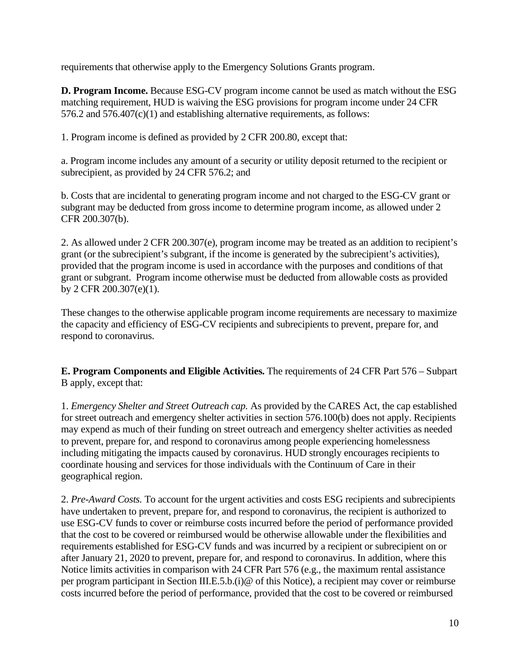requirements that otherwise apply to the Emergency Solutions Grants program.

**D. Program Income.** Because ESG-CV program income cannot be used as match without the ESG matching requirement, HUD is waiving the ESG provisions for program income under 24 CFR 576.2 and 576.407(c)(1) and establishing alternative requirements, as follows:

1. Program income is defined as provided by 2 CFR 200.80, except that:

a. Program income includes any amount of a security or utility deposit returned to the recipient or subrecipient, as provided by 24 CFR 576.2; and

b. Costs that are incidental to generating program income and not charged to the ESG-CV grant or subgrant may be deducted from gross income to determine program income, as allowed under 2 CFR 200.307(b).

2. As allowed under 2 CFR 200.307(e), program income may be treated as an addition to recipient's grant (or the subrecipient's subgrant, if the income is generated by the subrecipient's activities), provided that the program income is used in accordance with the purposes and conditions of that grant or subgrant. Program income otherwise must be deducted from allowable costs as provided by 2 CFR 200.307(e)(1).

These changes to the otherwise applicable program income requirements are necessary to maximize the capacity and efficiency of ESG-CV recipients and subrecipients to prevent, prepare for, and respond to coronavirus.

**E. Program Components and Eligible Activities.** The requirements of 24 CFR Part 576 – Subpart B apply, except that:

1. *Emergency Shelter and Street Outreach cap.* As provided by the CARES Act, the cap established for street outreach and emergency shelter activities in section 576.100(b) does not apply. Recipients may expend as much of their funding on street outreach and emergency shelter activities as needed to prevent, prepare for, and respond to coronavirus among people experiencing homelessness including mitigating the impacts caused by coronavirus. HUD strongly encourages recipients to coordinate housing and services for those individuals with the Continuum of Care in their geographical region.

2. *Pre-Award Costs.* To account for the urgent activities and costs ESG recipients and subrecipients have undertaken to prevent, prepare for, and respond to coronavirus, the recipient is authorized to use ESG-CV funds to cover or reimburse costs incurred before the period of performance provided that the cost to be covered or reimbursed would be otherwise allowable under the flexibilities and requirements established for ESG-CV funds and was incurred by a recipient or subrecipient on or after January 21, 2020 to prevent, prepare for, and respond to coronavirus. In addition, where this Notice limits activities in comparison with 24 CFR Part 576 (e.g., the maximum rental assistance per program participant in Section III.E.5.b.(i)@ of this Notice), a recipient may cover or reimburse costs incurred before the period of performance, provided that the cost to be covered or reimbursed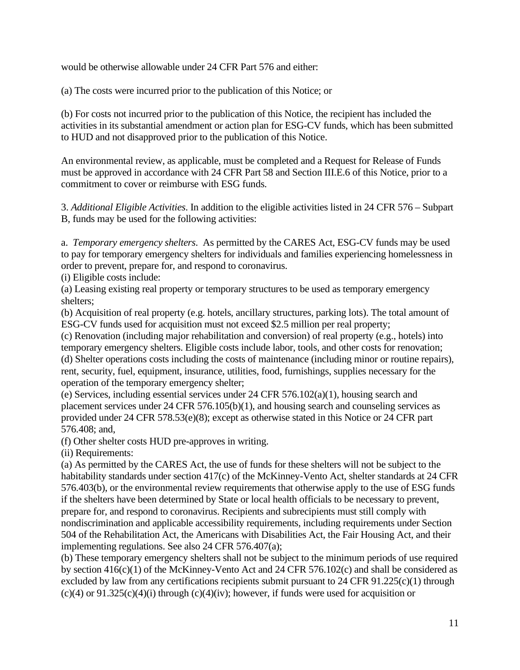would be otherwise allowable under 24 CFR Part 576 and either:

(a) The costs were incurred prior to the publication of this Notice; or

(b) For costs not incurred prior to the publication of this Notice, the recipient has included the activities in its substantial amendment or action plan for ESG-CV funds, which has been submitted to HUD and not disapproved prior to the publication of this Notice.

An environmental review, as applicable, must be completed and a Request for Release of Funds must be approved in accordance with 24 CFR Part 58 and Section III.E.6 of this Notice, prior to a commitment to cover or reimburse with ESG funds.

3. *Additional Eligible Activities*. In addition to the eligible activities listed in 24 CFR 576 – Subpart B, funds may be used for the following activities:

a. *Temporary emergency shelters*. As permitted by the CARES Act, ESG-CV funds may be used to pay for temporary emergency shelters for individuals and families experiencing homelessness in order to prevent, prepare for, and respond to coronavirus.

(i) Eligible costs include:

(a) Leasing existing real property or temporary structures to be used as temporary emergency shelters;

(b) Acquisition of real property (e.g. hotels, ancillary structures, parking lots). The total amount of ESG-CV funds used for acquisition must not exceed \$2.5 million per real property;

(c) Renovation (including major rehabilitation and conversion) of real property (e.g., hotels) into temporary emergency shelters. Eligible costs include labor, tools, and other costs for renovation; (d) Shelter operations costs including the costs of maintenance (including minor or routine repairs), rent, security, fuel, equipment, insurance, utilities, food, furnishings, supplies necessary for the operation of the temporary emergency shelter;

(e) Services, including essential services under 24 CFR 576.102(a)(1), housing search and placement services under 24 CFR 576.105(b)(1), and housing search and counseling services as provided under 24 CFR 578.53(e)(8); except as otherwise stated in this Notice or 24 CFR part 576.408; and,

(f) Other shelter costs HUD pre-approves in writing.

(ii) Requirements:

(a) As permitted by the CARES Act, the use of funds for these shelters will not be subject to the habitability standards under section 417(c) of the McKinney-Vento Act, shelter standards at 24 CFR 576.403(b), or the environmental review requirements that otherwise apply to the use of ESG funds if the shelters have been determined by State or local health officials to be necessary to prevent, prepare for, and respond to coronavirus. Recipients and subrecipients must still comply with nondiscrimination and applicable accessibility requirements, including requirements under Section 504 of the Rehabilitation Act, the Americans with Disabilities Act, the Fair Housing Act, and their implementing regulations. See also 24 CFR 576.407(a);

(b) These temporary emergency shelters shall not be subject to the minimum periods of use required by section 416(c)(1) of the McKinney-Vento Act and 24 CFR 576.102(c) and shall be considered as excluded by law from any certifications recipients submit pursuant to 24 CFR 91.225(c)(1) through  $(c)(4)$  or 91.325(c)(4)(i) through (c)(4)(iv); however, if funds were used for acquisition or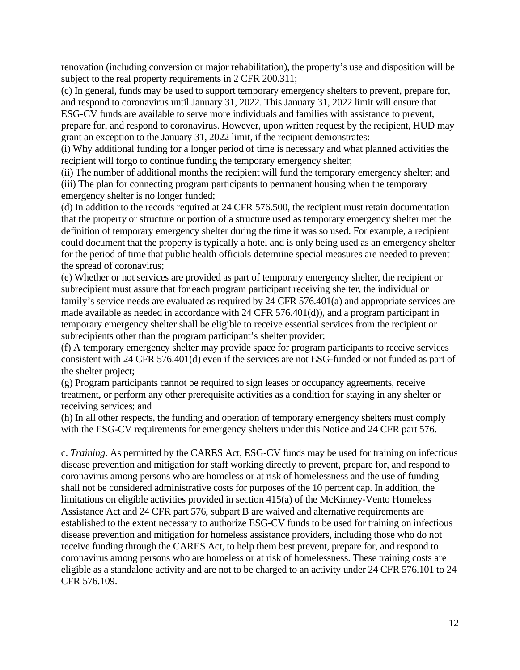renovation (including conversion or major rehabilitation), the property's use and disposition will be subject to the real property requirements in 2 CFR 200.311;

(c) In general, funds may be used to support temporary emergency shelters to prevent, prepare for, and respond to coronavirus until January 31, 2022. This January 31, 2022 limit will ensure that ESG-CV funds are available to serve more individuals and families with assistance to prevent, prepare for, and respond to coronavirus. However, upon written request by the recipient, HUD may grant an exception to the January 31, 2022 limit, if the recipient demonstrates:

(i) Why additional funding for a longer period of time is necessary and what planned activities the recipient will forgo to continue funding the temporary emergency shelter;

(ii) The number of additional months the recipient will fund the temporary emergency shelter; and (iii) The plan for connecting program participants to permanent housing when the temporary emergency shelter is no longer funded;

(d) In addition to the records required at 24 CFR 576.500, the recipient must retain documentation that the property or structure or portion of a structure used as temporary emergency shelter met the definition of temporary emergency shelter during the time it was so used. For example, a recipient could document that the property is typically a hotel and is only being used as an emergency shelter for the period of time that public health officials determine special measures are needed to prevent the spread of coronavirus;

(e) Whether or not services are provided as part of temporary emergency shelter, the recipient or subrecipient must assure that for each program participant receiving shelter, the individual or family's service needs are evaluated as required by 24 CFR 576.401(a) and appropriate services are made available as needed in accordance with 24 CFR 576.401(d)), and a program participant in temporary emergency shelter shall be eligible to receive essential services from the recipient or subrecipients other than the program participant's shelter provider;

(f) A temporary emergency shelter may provide space for program participants to receive services consistent with 24 CFR 576.401(d) even if the services are not ESG-funded or not funded as part of the shelter project;

(g) Program participants cannot be required to sign leases or occupancy agreements, receive treatment, or perform any other prerequisite activities as a condition for staying in any shelter or receiving services; and

(h) In all other respects, the funding and operation of temporary emergency shelters must comply with the ESG-CV requirements for emergency shelters under this Notice and 24 CFR part 576.

c. *Training*. As permitted by the CARES Act, ESG-CV funds may be used for training on infectious disease prevention and mitigation for staff working directly to prevent, prepare for, and respond to coronavirus among persons who are homeless or at risk of homelessness and the use of funding shall not be considered administrative costs for purposes of the 10 percent cap. In addition, the limitations on eligible activities provided in section 415(a) of the McKinney-Vento Homeless Assistance Act and 24 CFR part 576, subpart B are waived and alternative requirements are established to the extent necessary to authorize ESG-CV funds to be used for training on infectious disease prevention and mitigation for homeless assistance providers, including those who do not receive funding through the CARES Act, to help them best prevent, prepare for, and respond to coronavirus among persons who are homeless or at risk of homelessness. These training costs are eligible as a standalone activity and are not to be charged to an activity under 24 CFR 576.101 to 24 CFR 576.109.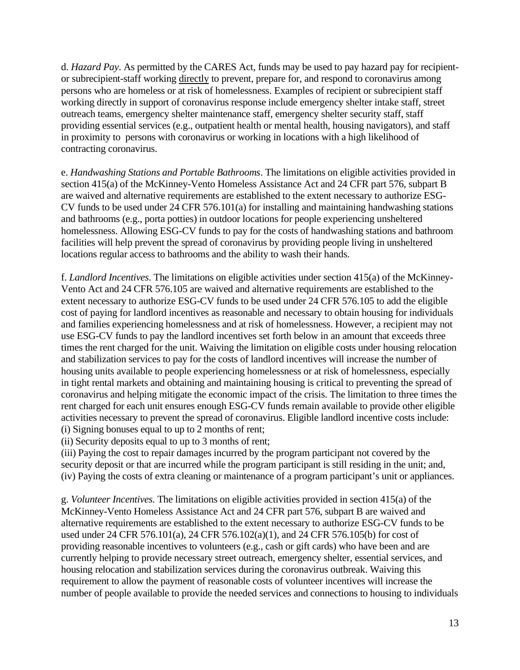d. *Hazard Pay*. As permitted by the CARES Act, funds may be used to pay hazard pay for recipientor subrecipient-staff working directly to prevent, prepare for, and respond to coronavirus among persons who are homeless or at risk of homelessness. Examples of recipient or subrecipient staff working directly in support of coronavirus response include emergency shelter intake staff, street outreach teams, emergency shelter maintenance staff, emergency shelter security staff, staff providing essential services (e.g., outpatient health or mental health, housing navigators), and staff in proximity to persons with coronavirus or working in locations with a high likelihood of contracting coronavirus.

e. *Handwashing Stations and Portable Bathrooms*. The limitations on eligible activities provided in section 415(a) of the McKinney-Vento Homeless Assistance Act and 24 CFR part 576, subpart B are waived and alternative requirements are established to the extent necessary to authorize ESG-CV funds to be used under 24 CFR 576.101(a) for installing and maintaining handwashing stations and bathrooms (e.g., porta potties) in outdoor locations for people experiencing unsheltered homelessness. Allowing ESG-CV funds to pay for the costs of handwashing stations and bathroom facilities will help prevent the spread of coronavirus by providing people living in unsheltered locations regular access to bathrooms and the ability to wash their hands.

f. *Landlord Incentives*. The limitations on eligible activities under section 415(a) of the McKinney-Vento Act and 24 CFR 576.105 are waived and alternative requirements are established to the extent necessary to authorize ESG-CV funds to be used under 24 CFR 576.105 to add the eligible cost of paying for landlord incentives as reasonable and necessary to obtain housing for individuals and families experiencing homelessness and at risk of homelessness. However, a recipient may not use ESG-CV funds to pay the landlord incentives set forth below in an amount that exceeds three times the rent charged for the unit. Waiving the limitation on eligible costs under housing relocation and stabilization services to pay for the costs of landlord incentives will increase the number of housing units available to people experiencing homelessness or at risk of homelessness, especially in tight rental markets and obtaining and maintaining housing is critical to preventing the spread of coronavirus and helping mitigate the economic impact of the crisis. The limitation to three times the rent charged for each unit ensures enough ESG-CV funds remain available to provide other eligible activities necessary to prevent the spread of coronavirus. Eligible landlord incentive costs include: (i) Signing bonuses equal to up to 2 months of rent;

(ii) Security deposits equal to up to 3 months of rent;

(iii) Paying the cost to repair damages incurred by the program participant not covered by the security deposit or that are incurred while the program participant is still residing in the unit; and, (iv) Paying the costs of extra cleaning or maintenance of a program participant's unit or appliances.

g. *Volunteer Incentives.* The limitations on eligible activities provided in section 415(a) of the McKinney-Vento Homeless Assistance Act and 24 CFR part 576, subpart B are waived and alternative requirements are established to the extent necessary to authorize ESG-CV funds to be used under 24 CFR 576.101(a), 24 CFR 576.102(a)(1), and 24 CFR 576.105(b) for cost of providing reasonable incentives to volunteers (e.g., cash or gift cards) who have been and are currently helping to provide necessary street outreach, emergency shelter, essential services, and housing relocation and stabilization services during the coronavirus outbreak. Waiving this requirement to allow the payment of reasonable costs of volunteer incentives will increase the number of people available to provide the needed services and connections to housing to individuals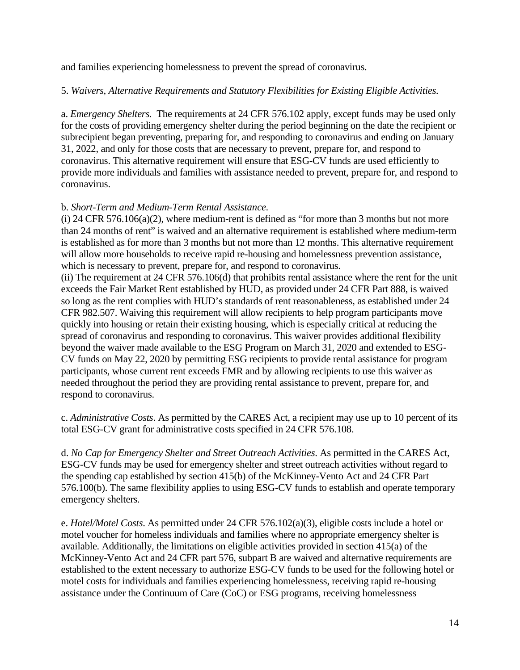and families experiencing homelessness to prevent the spread of coronavirus.

### 5. *Waivers, Alternative Requirements and Statutory Flexibilities for Existing Eligible Activities.*

a. *Emergency Shelters.* The requirements at 24 CFR 576.102 apply, except funds may be used only for the costs of providing emergency shelter during the period beginning on the date the recipient or subrecipient began preventing, preparing for, and responding to coronavirus and ending on January 31, 2022, and only for those costs that are necessary to prevent, prepare for, and respond to coronavirus. This alternative requirement will ensure that ESG-CV funds are used efficiently to provide more individuals and families with assistance needed to prevent, prepare for, and respond to coronavirus.

### b. *Short-Term and Medium-Term Rental Assistance*.

(i) 24 CFR 576.106(a)(2), where medium-rent is defined as "for more than 3 months but not more than 24 months of rent" is waived and an alternative requirement is established where medium-term is established as for more than 3 months but not more than 12 months. This alternative requirement will allow more households to receive rapid re-housing and homelessness prevention assistance, which is necessary to prevent, prepare for, and respond to coronavirus.

(ii) The requirement at 24 CFR 576.106(d) that prohibits rental assistance where the rent for the unit exceeds the Fair Market Rent established by HUD, as provided under 24 CFR Part 888, is waived so long as the rent complies with HUD's standards of rent reasonableness, as established under 24 CFR 982.507. Waiving this requirement will allow recipients to help program participants move quickly into housing or retain their existing housing, which is especially critical at reducing the spread of coronavirus and responding to coronavirus. This waiver provides additional flexibility beyond the waiver made available to the ESG Program on March 31, 2020 and extended to ESG-CV funds on May 22, 2020 by permitting ESG recipients to provide rental assistance for program participants, whose current rent exceeds FMR and by allowing recipients to use this waiver as needed throughout the period they are providing rental assistance to prevent, prepare for, and respond to coronavirus.

c. *Administrative Costs*. As permitted by the CARES Act, a recipient may use up to 10 percent of its total ESG-CV grant for administrative costs specified in 24 CFR 576.108.

d. *No Cap for Emergency Shelter and Street Outreach Activities*. As permitted in the CARES Act, ESG-CV funds may be used for emergency shelter and street outreach activities without regard to the spending cap established by section 415(b) of the McKinney-Vento Act and 24 CFR Part 576.100(b). The same flexibility applies to using ESG-CV funds to establish and operate temporary emergency shelters.

e. *Hotel/Motel Costs*. As permitted under 24 CFR 576.102(a)(3), eligible costs include a hotel or motel voucher for homeless individuals and families where no appropriate emergency shelter is available. Additionally, the limitations on eligible activities provided in section 415(a) of the McKinney-Vento Act and 24 CFR part 576, subpart B are waived and alternative requirements are established to the extent necessary to authorize ESG-CV funds to be used for the following hotel or motel costs for individuals and families experiencing homelessness, receiving rapid re-housing assistance under the Continuum of Care (CoC) or ESG programs, receiving homelessness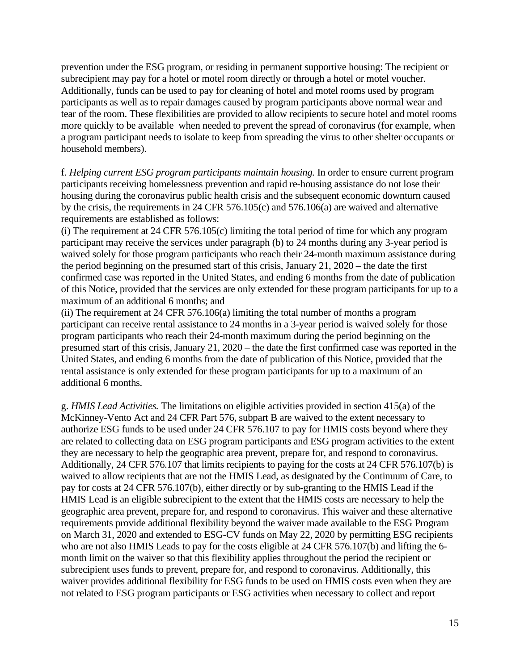prevention under the ESG program, or residing in permanent supportive housing: The recipient or subrecipient may pay for a hotel or motel room directly or through a hotel or motel voucher. Additionally, funds can be used to pay for cleaning of hotel and motel rooms used by program participants as well as to repair damages caused by program participants above normal wear and tear of the room. These flexibilities are provided to allow recipients to secure hotel and motel rooms more quickly to be available when needed to prevent the spread of coronavirus (for example, when a program participant needs to isolate to keep from spreading the virus to other shelter occupants or household members).

f. *Helping current ESG program participants maintain housing.* In order to ensure current program participants receiving homelessness prevention and rapid re-housing assistance do not lose their housing during the coronavirus public health crisis and the subsequent economic downturn caused by the crisis, the requirements in 24 CFR 576.105(c) and 576.106(a) are waived and alternative requirements are established as follows:

(i) The requirement at 24 CFR 576.105(c) limiting the total period of time for which any program participant may receive the services under paragraph (b) to 24 months during any 3-year period is waived solely for those program participants who reach their 24-month maximum assistance during the period beginning on the presumed start of this crisis, January 21, 2020 – the date the first confirmed case was reported in the United States, and ending 6 months from the date of publication of this Notice, provided that the services are only extended for these program participants for up to a maximum of an additional 6 months; and

(ii) The requirement at 24 CFR 576.106(a) limiting the total number of months a program participant can receive rental assistance to 24 months in a 3-year period is waived solely for those program participants who reach their 24-month maximum during the period beginning on the presumed start of this crisis, January 21, 2020 – the date the first confirmed case was reported in the United States, and ending 6 months from the date of publication of this Notice, provided that the rental assistance is only extended for these program participants for up to a maximum of an additional 6 months.

g. *HMIS Lead Activities.* The limitations on eligible activities provided in section 415(a) of the McKinney-Vento Act and 24 CFR Part 576, subpart B are waived to the extent necessary to authorize ESG funds to be used under 24 CFR 576.107 to pay for HMIS costs beyond where they are related to collecting data on ESG program participants and ESG program activities to the extent they are necessary to help the geographic area prevent, prepare for, and respond to coronavirus. Additionally, 24 CFR 576.107 that limits recipients to paying for the costs at 24 CFR 576.107(b) is waived to allow recipients that are not the HMIS Lead, as designated by the Continuum of Care, to pay for costs at 24 CFR 576.107(b), either directly or by sub-granting to the HMIS Lead if the HMIS Lead is an eligible subrecipient to the extent that the HMIS costs are necessary to help the geographic area prevent, prepare for, and respond to coronavirus. This waiver and these alternative requirements provide additional flexibility beyond the waiver made available to the ESG Program on March 31, 2020 and extended to ESG-CV funds on May 22, 2020 by permitting ESG recipients who are not also HMIS Leads to pay for the costs eligible at 24 CFR 576.107(b) and lifting the 6 month limit on the waiver so that this flexibility applies throughout the period the recipient or subrecipient uses funds to prevent, prepare for, and respond to coronavirus. Additionally, this waiver provides additional flexibility for ESG funds to be used on HMIS costs even when they are not related to ESG program participants or ESG activities when necessary to collect and report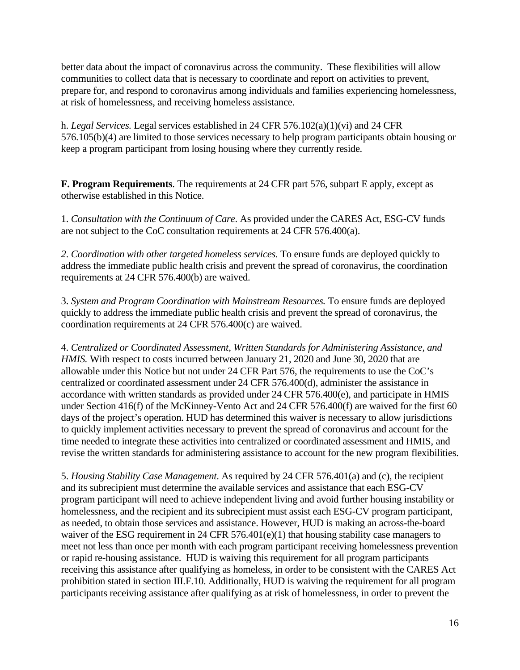better data about the impact of coronavirus across the community. These flexibilities will allow communities to collect data that is necessary to coordinate and report on activities to prevent, prepare for, and respond to coronavirus among individuals and families experiencing homelessness, at risk of homelessness, and receiving homeless assistance.

h. *Legal Services.* Legal services established in 24 CFR 576.102(a)(1)(vi) and 24 CFR 576.105(b)(4) are limited to those services necessary to help program participants obtain housing or keep a program participant from losing housing where they currently reside.

**F. Program Requirements**. The requirements at 24 CFR part 576, subpart E apply, except as otherwise established in this Notice.

1. *Consultation with the Continuum of Care*. As provided under the CARES Act, ESG-CV funds are not subject to the CoC consultation requirements at 24 CFR 576.400(a).

*2*. *Coordination with other targeted homeless services.* To ensure funds are deployed quickly to address the immediate public health crisis and prevent the spread of coronavirus, the coordination requirements at 24 CFR 576.400(b) are waived.

3. *System and Program Coordination with Mainstream Resources.* To ensure funds are deployed quickly to address the immediate public health crisis and prevent the spread of coronavirus, the coordination requirements at 24 CFR 576.400(c) are waived.

4. *Centralized or Coordinated Assessment, Written Standards for Administering Assistance, and HMIS.* With respect to costs incurred between January 21, 2020 and June 30, 2020 that are allowable under this Notice but not under 24 CFR Part 576, the requirements to use the CoC's centralized or coordinated assessment under 24 CFR 576.400(d), administer the assistance in accordance with written standards as provided under 24 CFR 576.400(e), and participate in HMIS under Section 416(f) of the McKinney-Vento Act and 24 CFR 576.400(f) are waived for the first 60 days of the project's operation. HUD has determined this waiver is necessary to allow jurisdictions to quickly implement activities necessary to prevent the spread of coronavirus and account for the time needed to integrate these activities into centralized or coordinated assessment and HMIS, and revise the written standards for administering assistance to account for the new program flexibilities.

5. *Housing Stability Case Management*. As required by 24 CFR 576.401(a) and (c), the recipient and its subrecipient must determine the available services and assistance that each ESG-CV program participant will need to achieve independent living and avoid further housing instability or homelessness, and the recipient and its subrecipient must assist each ESG-CV program participant, as needed, to obtain those services and assistance. However, HUD is making an across-the-board waiver of the ESG requirement in 24 CFR 576.401(e)(1) that housing stability case managers to meet not less than once per month with each program participant receiving homelessness prevention or rapid re-housing assistance. HUD is waiving this requirement for all program participants receiving this assistance after qualifying as homeless, in order to be consistent with the CARES Act prohibition stated in section III.F.10. Additionally, HUD is waiving the requirement for all program participants receiving assistance after qualifying as at risk of homelessness, in order to prevent the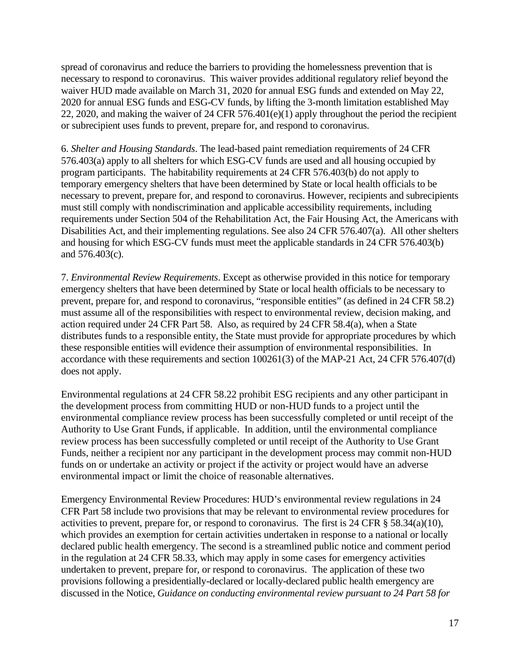spread of coronavirus and reduce the barriers to providing the homelessness prevention that is necessary to respond to coronavirus. This waiver provides additional regulatory relief beyond the waiver HUD made available on March 31, 2020 for annual ESG funds and extended on May 22, 2020 for annual ESG funds and ESG-CV funds, by lifting the 3-month limitation established May 22, 2020, and making the waiver of 24 CFR 576.401(e)(1) apply throughout the period the recipient or subrecipient uses funds to prevent, prepare for, and respond to coronavirus.

6. *Shelter and Housing Standards*. The lead-based paint remediation requirements of 24 CFR 576.403(a) apply to all shelters for which ESG-CV funds are used and all housing occupied by program participants. The habitability requirements at 24 CFR 576.403(b) do not apply to temporary emergency shelters that have been determined by State or local health officials to be necessary to prevent, prepare for, and respond to coronavirus. However, recipients and subrecipients must still comply with nondiscrimination and applicable accessibility requirements, including requirements under Section 504 of the Rehabilitation Act, the Fair Housing Act, the Americans with Disabilities Act, and their implementing regulations. See also 24 CFR 576.407(a). All other shelters and housing for which ESG-CV funds must meet the applicable standards in 24 CFR 576.403(b) and 576.403(c).

7. *Environmental Review Requirements*. Except as otherwise provided in this notice for temporary emergency shelters that have been determined by State or local health officials to be necessary to prevent, prepare for, and respond to coronavirus, "responsible entities" (as defined in 24 CFR 58.2) must assume all of the responsibilities with respect to environmental review, decision making, and action required under 24 CFR Part 58. Also, as required by 24 CFR 58.4(a), when a State distributes funds to a responsible entity, the State must provide for appropriate procedures by which these responsible entities will evidence their assumption of environmental responsibilities. In accordance with these requirements and section 100261(3) of the MAP-21 Act, 24 CFR 576.407(d) does not apply.

Environmental regulations at 24 CFR 58.22 prohibit ESG recipients and any other participant in the development process from committing HUD or non-HUD funds to a project until the environmental compliance review process has been successfully completed or until receipt of the Authority to Use Grant Funds, if applicable. In addition, until the environmental compliance review process has been successfully completed or until receipt of the Authority to Use Grant Funds, neither a recipient nor any participant in the development process may commit non-HUD funds on or undertake an activity or project if the activity or project would have an adverse environmental impact or limit the choice of reasonable alternatives.

Emergency Environmental Review Procedures: HUD's environmental review regulations in 24 CFR Part 58 include two provisions that may be relevant to environmental review procedures for activities to prevent, prepare for, or respond to coronavirus. The first is 24 CFR § 58.34(a)(10), which provides an exemption for certain activities undertaken in response to a national or locally declared public health emergency. The second is a streamlined public notice and comment period in the regulation at 24 CFR 58.33, which may apply in some cases for emergency activities undertaken to prevent, prepare for, or respond to coronavirus. The application of these two provisions following a presidentially-declared or locally-declared public health emergency are discussed in the Notice, *Guidance on conducting environmental review pursuant to 24 Part 58 for*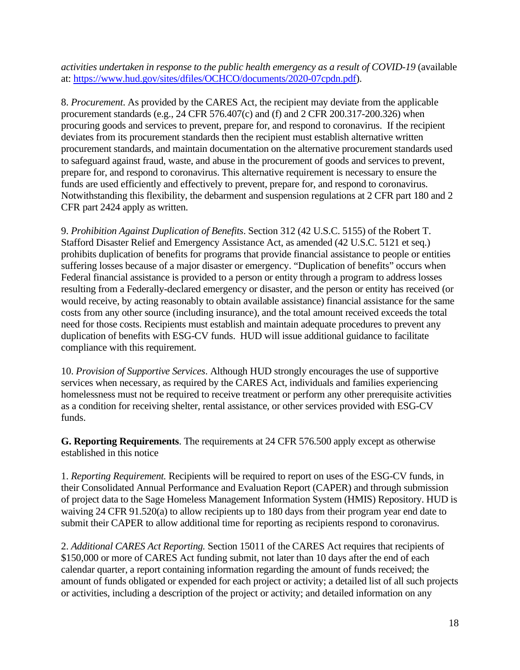*activities undertaken in response to the public health emergency as a result of COVID-19* (available at: [https://www.hud.gov/sites/dfiles/OCHCO/documents/2020-07cpdn.pdf\)](https://www.hud.gov/sites/dfiles/OCHCO/documents/2020-07cpdn.pdf).

8. *Procurement*. As provided by the CARES Act, the recipient may deviate from the applicable procurement standards (e.g., 24 CFR 576.407(c) and (f) and 2 CFR 200.317-200.326) when procuring goods and services to prevent, prepare for, and respond to coronavirus. If the recipient deviates from its procurement standards then the recipient must establish alternative written procurement standards, and maintain documentation on the alternative procurement standards used to safeguard against fraud, waste, and abuse in the procurement of goods and services to prevent, prepare for, and respond to coronavirus. This alternative requirement is necessary to ensure the funds are used efficiently and effectively to prevent, prepare for, and respond to coronavirus. Notwithstanding this flexibility, the debarment and suspension regulations at 2 CFR part 180 and 2 CFR part 2424 apply as written.

9. *Prohibition Against Duplication of Benefits*. Section 312 (42 U.S.C. 5155) of the Robert T. Stafford Disaster Relief and Emergency Assistance Act, as amended (42 U.S.C. 5121 et seq.) prohibits duplication of benefits for programs that provide financial assistance to people or entities suffering losses because of a major disaster or emergency. "Duplication of benefits" occurs when Federal financial assistance is provided to a person or entity through a program to address losses resulting from a Federally-declared emergency or disaster, and the person or entity has received (or would receive, by acting reasonably to obtain available assistance) financial assistance for the same costs from any other source (including insurance), and the total amount received exceeds the total need for those costs. Recipients must establish and maintain adequate procedures to prevent any duplication of benefits with ESG-CV funds. HUD will issue additional guidance to facilitate compliance with this requirement.

10. *Provision of Supportive Services*. Although HUD strongly encourages the use of supportive services when necessary, as required by the CARES Act, individuals and families experiencing homelessness must not be required to receive treatment or perform any other prerequisite activities as a condition for receiving shelter, rental assistance, or other services provided with ESG-CV funds.

**G. Reporting Requirements**. The requirements at 24 CFR 576.500 apply except as otherwise established in this notice

1. *Reporting Requirement.* Recipients will be required to report on uses of the ESG-CV funds, in their Consolidated Annual Performance and Evaluation Report (CAPER) and through submission of project data to the Sage Homeless Management Information System (HMIS) Repository. HUD is waiving 24 CFR 91.520(a) to allow recipients up to 180 days from their program year end date to submit their CAPER to allow additional time for reporting as recipients respond to coronavirus.

2. *Additional CARES Act Reporting.* Section 15011 of the CARES Act requires that recipients of \$150,000 or more of CARES Act funding submit, not later than 10 days after the end of each calendar quarter, a report containing information regarding the amount of funds received; the amount of funds obligated or expended for each project or activity; a detailed list of all such projects or activities, including a description of the project or activity; and detailed information on any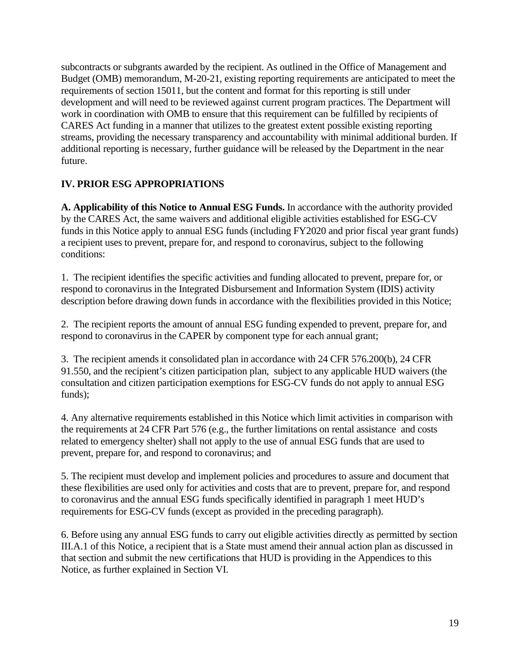subcontracts or subgrants awarded by the recipient. As outlined in the Office of Management and Budget (OMB) memorandum, M-20-21, existing reporting requirements are anticipated to meet the requirements of section 15011, but the content and format for this reporting is still under development and will need to be reviewed against current program practices. The Department will work in coordination with OMB to ensure that this requirement can be fulfilled by recipients of CARES Act funding in a manner that utilizes to the greatest extent possible existing reporting streams, providing the necessary transparency and accountability with minimal additional burden. If additional reporting is necessary, further guidance will be released by the Department in the near future.

# **IV. PRIOR ESG APPROPRIATIONS**

**A. Applicability of this Notice to Annual ESG Funds.** In accordance with the authority provided by the CARES Act, the same waivers and additional eligible activities established for ESG-CV funds in this Notice apply to annual ESG funds (including FY2020 and prior fiscal year grant funds) a recipient uses to prevent, prepare for, and respond to coronavirus, subject to the following conditions:

1. The recipient identifies the specific activities and funding allocated to prevent, prepare for, or respond to coronavirus in the Integrated Disbursement and Information System (IDIS) activity description before drawing down funds in accordance with the flexibilities provided in this Notice;

2. The recipient reports the amount of annual ESG funding expended to prevent, prepare for, and respond to coronavirus in the CAPER by component type for each annual grant;

3. The recipient amends it consolidated plan in accordance with 24 CFR 576.200(b), 24 CFR 91.550, and the recipient's citizen participation plan, subject to any applicable HUD waivers (the consultation and citizen participation exemptions for ESG-CV funds do not apply to annual ESG funds);

4. Any alternative requirements established in this Notice which limit activities in comparison with the requirements at 24 CFR Part 576 (e.g., the further limitations on rental assistance and costs related to emergency shelter) shall not apply to the use of annual ESG funds that are used to prevent, prepare for, and respond to coronavirus; and

5. The recipient must develop and implement policies and procedures to assure and document that these flexibilities are used only for activities and costs that are to prevent, prepare for, and respond to coronavirus and the annual ESG funds specifically identified in paragraph 1 meet HUD's requirements for ESG-CV funds (except as provided in the preceding paragraph).

6. Before using any annual ESG funds to carry out eligible activities directly as permitted by section III.A.1 of this Notice, a recipient that is a State must amend their annual action plan as discussed in that section and submit the new certifications that HUD is providing in the Appendices to this Notice, as further explained in Section VI.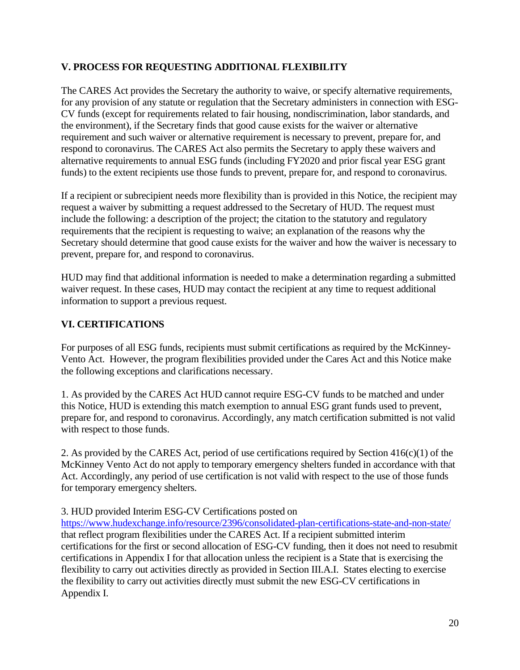# **V. PROCESS FOR REQUESTING ADDITIONAL FLEXIBILITY**

The CARES Act provides the Secretary the authority to waive, or specify alternative requirements, for any provision of any statute or regulation that the Secretary administers in connection with ESG-CV funds (except for requirements related to fair housing, nondiscrimination, labor standards, and the environment), if the Secretary finds that good cause exists for the waiver or alternative requirement and such waiver or alternative requirement is necessary to prevent, prepare for, and respond to coronavirus. The CARES Act also permits the Secretary to apply these waivers and alternative requirements to annual ESG funds (including FY2020 and prior fiscal year ESG grant funds) to the extent recipients use those funds to prevent, prepare for, and respond to coronavirus.

If a recipient or subrecipient needs more flexibility than is provided in this Notice, the recipient may request a waiver by submitting a request addressed to the Secretary of HUD. The request must include the following: a description of the project; the citation to the statutory and regulatory requirements that the recipient is requesting to waive; an explanation of the reasons why the Secretary should determine that good cause exists for the waiver and how the waiver is necessary to prevent, prepare for, and respond to coronavirus.

HUD may find that additional information is needed to make a determination regarding a submitted waiver request. In these cases, HUD may contact the recipient at any time to request additional information to support a previous request.

## **VI. CERTIFICATIONS**

For purposes of all ESG funds, recipients must submit certifications as required by the McKinney-Vento Act. However, the program flexibilities provided under the Cares Act and this Notice make the following exceptions and clarifications necessary.

1. As provided by the CARES Act HUD cannot require ESG-CV funds to be matched and under this Notice, HUD is extending this match exemption to annual ESG grant funds used to prevent, prepare for, and respond to coronavirus. Accordingly, any match certification submitted is not valid with respect to those funds.

2. As provided by the CARES Act, period of use certifications required by Section  $416(c)(1)$  of the McKinney Vento Act do not apply to temporary emergency shelters funded in accordance with that Act. Accordingly, any period of use certification is not valid with respect to the use of those funds for temporary emergency shelters.

### 3. HUD provided Interim ESG-CV Certifications posted on

<https://www.hudexchange.info/resource/2396/consolidated-plan-certifications-state-and-non-state/> that reflect program flexibilities under the CARES Act. If a recipient submitted interim certifications for the first or second allocation of ESG-CV funding, then it does not need to resubmit certifications in Appendix I for that allocation unless the recipient is a State that is exercising the flexibility to carry out activities directly as provided in Section III.A.I. States electing to exercise the flexibility to carry out activities directly must submit the new ESG-CV certifications in Appendix I.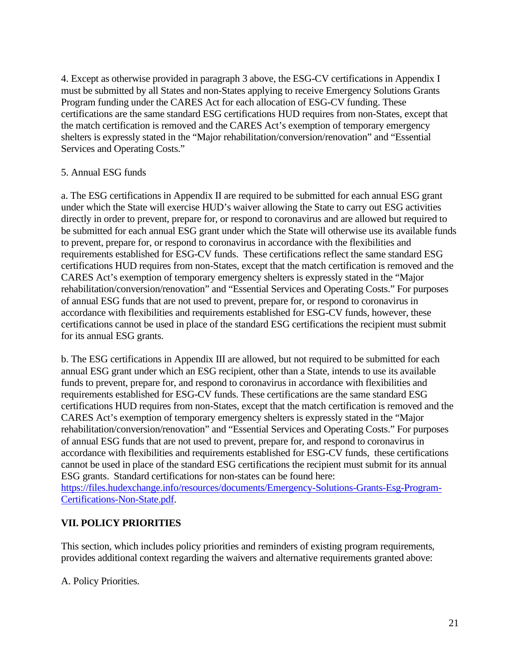4. Except as otherwise provided in paragraph 3 above, the ESG-CV certifications in Appendix I must be submitted by all States and non-States applying to receive Emergency Solutions Grants Program funding under the CARES Act for each allocation of ESG-CV funding. These certifications are the same standard ESG certifications HUD requires from non-States, except that the match certification is removed and the CARES Act's exemption of temporary emergency shelters is expressly stated in the "Major rehabilitation/conversion/renovation" and "Essential Services and Operating Costs."

### 5. Annual ESG funds

a. The ESG certifications in Appendix II are required to be submitted for each annual ESG grant under which the State will exercise HUD's waiver allowing the State to carry out ESG activities directly in order to prevent, prepare for, or respond to coronavirus and are allowed but required to be submitted for each annual ESG grant under which the State will otherwise use its available funds to prevent, prepare for, or respond to coronavirus in accordance with the flexibilities and requirements established for ESG-CV funds. These certifications reflect the same standard ESG certifications HUD requires from non-States, except that the match certification is removed and the CARES Act's exemption of temporary emergency shelters is expressly stated in the "Major rehabilitation/conversion/renovation" and "Essential Services and Operating Costs." For purposes of annual ESG funds that are not used to prevent, prepare for, or respond to coronavirus in accordance with flexibilities and requirements established for ESG-CV funds, however, these certifications cannot be used in place of the standard ESG certifications the recipient must submit for its annual ESG grants.

b. The ESG certifications in Appendix III are allowed, but not required to be submitted for each annual ESG grant under which an ESG recipient, other than a State, intends to use its available funds to prevent, prepare for, and respond to coronavirus in accordance with flexibilities and requirements established for ESG-CV funds. These certifications are the same standard ESG certifications HUD requires from non-States, except that the match certification is removed and the CARES Act's exemption of temporary emergency shelters is expressly stated in the "Major rehabilitation/conversion/renovation" and "Essential Services and Operating Costs." For purposes of annual ESG funds that are not used to prevent, prepare for, and respond to coronavirus in accordance with flexibilities and requirements established for ESG-CV funds, these certifications cannot be used in place of the standard ESG certifications the recipient must submit for its annual ESG grants. Standard certifications for non-states can be found here: [https://files.hudexchange.info/resources/documents/Emergency-Solutions-Grants-Esg-Program-](https://files.hudexchange.info/resources/documents/Emergency-Solutions-Grants-Esg-Program-Certifications-Non-State.pdf)

[Certifications-Non-State.pdf.](https://files.hudexchange.info/resources/documents/Emergency-Solutions-Grants-Esg-Program-Certifications-Non-State.pdf)

# **VII. POLICY PRIORITIES**

This section, which includes policy priorities and reminders of existing program requirements, provides additional context regarding the waivers and alternative requirements granted above:

A. Policy Priorities.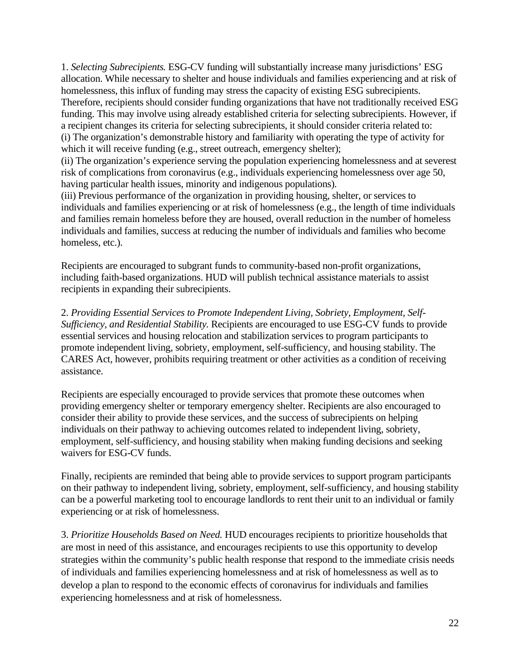1. *Selecting Subrecipients.* ESG-CV funding will substantially increase many jurisdictions' ESG allocation. While necessary to shelter and house individuals and families experiencing and at risk of homelessness, this influx of funding may stress the capacity of existing ESG subrecipients. Therefore, recipients should consider funding organizations that have not traditionally received ESG funding. This may involve using already established criteria for selecting subrecipients. However, if a recipient changes its criteria for selecting subrecipients, it should consider criteria related to: (i) The organization's demonstrable history and familiarity with operating the type of activity for which it will receive funding (e.g., street outreach, emergency shelter);

(ii) The organization's experience serving the population experiencing homelessness and at severest risk of complications from coronavirus (e.g., individuals experiencing homelessness over age 50, having particular health issues, minority and indigenous populations).

(iii) Previous performance of the organization in providing housing, shelter, or services to individuals and families experiencing or at risk of homelessness (e.g., the length of time individuals and families remain homeless before they are housed, overall reduction in the number of homeless individuals and families, success at reducing the number of individuals and families who become homeless, etc.).

Recipients are encouraged to subgrant funds to community-based non-profit organizations, including faith-based organizations. HUD will publish technical assistance materials to assist recipients in expanding their subrecipients.

2. *Providing Essential Services to Promote Independent Living, Sobriety, Employment, Self-Sufficiency, and Residential Stability.* Recipients are encouraged to use ESG-CV funds to provide essential services and housing relocation and stabilization services to program participants to promote independent living, sobriety, employment, self-sufficiency, and housing stability. The CARES Act, however, prohibits requiring treatment or other activities as a condition of receiving assistance.

Recipients are especially encouraged to provide services that promote these outcomes when providing emergency shelter or temporary emergency shelter. Recipients are also encouraged to consider their ability to provide these services, and the success of subrecipients on helping individuals on their pathway to achieving outcomes related to independent living, sobriety, employment, self-sufficiency, and housing stability when making funding decisions and seeking waivers for ESG-CV funds.

Finally, recipients are reminded that being able to provide services to support program participants on their pathway to independent living, sobriety, employment, self-sufficiency, and housing stability can be a powerful marketing tool to encourage landlords to rent their unit to an individual or family experiencing or at risk of homelessness.

3. *Prioritize Households Based on Need.* HUD encourages recipients to prioritize households that are most in need of this assistance, and encourages recipients to use this opportunity to develop strategies within the community's public health response that respond to the immediate crisis needs of individuals and families experiencing homelessness and at risk of homelessness as well as to develop a plan to respond to the economic effects of coronavirus for individuals and families experiencing homelessness and at risk of homelessness.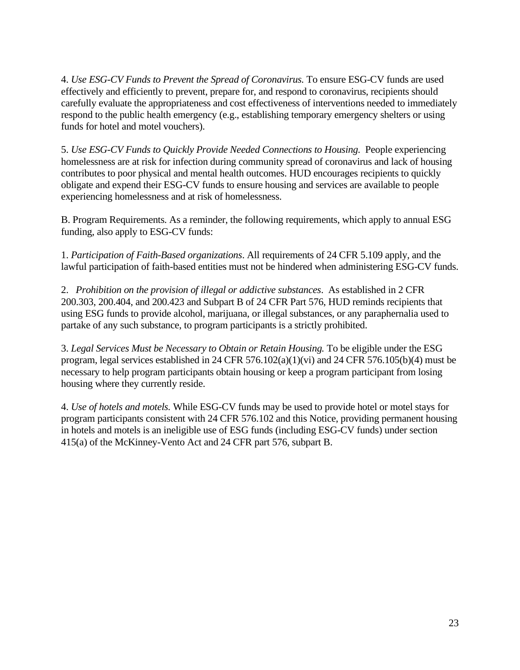4. *Use ESG-CV Funds to Prevent the Spread of Coronavirus.* To ensure ESG-CV funds are used effectively and efficiently to prevent, prepare for, and respond to coronavirus, recipients should carefully evaluate the appropriateness and cost effectiveness of interventions needed to immediately respond to the public health emergency (e.g., establishing temporary emergency shelters or using funds for hotel and motel vouchers).

5. *Use ESG-CV Funds to Quickly Provide Needed Connections to Housing.* People experiencing homelessness are at risk for infection during community spread of coronavirus and lack of housing contributes to poor physical and mental health outcomes. HUD encourages recipients to quickly obligate and expend their ESG-CV funds to ensure housing and services are available to people experiencing homelessness and at risk of homelessness.

B. Program Requirements. As a reminder, the following requirements, which apply to annual ESG funding, also apply to ESG-CV funds:

1. *Participation of Faith-Based organizations*. All requirements of 24 CFR 5.109 apply, and the lawful participation of faith-based entities must not be hindered when administering ESG-CV funds.

2. *Prohibition on the provision of illegal or addictive substances*. As established in 2 CFR 200.303, 200.404, and 200.423 and Subpart B of 24 CFR Part 576, HUD reminds recipients that using ESG funds to provide alcohol, marijuana, or illegal substances, or any paraphernalia used to partake of any such substance, to program participants is a strictly prohibited.

3. *Legal Services Must be Necessary to Obtain or Retain Housing.* To be eligible under the ESG program, legal services established in 24 CFR 576.102(a)(1)(vi) and 24 CFR 576.105(b)(4) must be necessary to help program participants obtain housing or keep a program participant from losing housing where they currently reside.

4. *Use of hotels and motels.* While ESG-CV funds may be used to provide hotel or motel stays for program participants consistent with 24 CFR 576.102 and this Notice, providing permanent housing in hotels and motels is an ineligible use of ESG funds (including ESG-CV funds) under section 415(a) of the McKinney-Vento Act and 24 CFR part 576, subpart B.